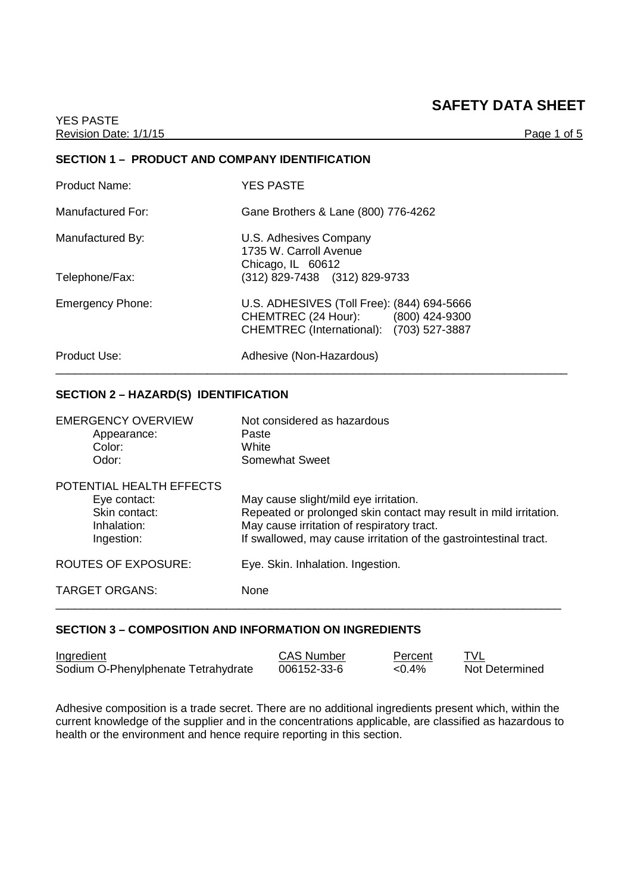# **SAFETY DATA SHEET**

# **SECTION 1 – PRODUCT AND COMPANY IDENTIFICATION**

| <b>Product Name:</b>    | <b>YES PASTE</b>                                                                                                             |
|-------------------------|------------------------------------------------------------------------------------------------------------------------------|
| Manufactured For:       | Gane Brothers & Lane (800) 776-4262                                                                                          |
| Manufactured By:        | U.S. Adhesives Company<br>1735 W. Carroll Avenue<br>Chicago, IL 60612                                                        |
| Telephone/Fax:          | (312) 829-7438 (312) 829-9733                                                                                                |
| <b>Emergency Phone:</b> | U.S. ADHESIVES (Toll Free): (844) 694-5666<br>CHEMTREC (24 Hour): (800) 424-9300<br>CHEMTREC (International): (703) 527-3887 |
| Product Use:            | Adhesive (Non-Hazardous)                                                                                                     |

# **SECTION 2 – HAZARD(S) IDENTIFICATION**

| <b>EMERGENCY OVERVIEW</b><br>Appearance:<br>Color:<br>Odor:                            | Not considered as hazardous<br>Paste<br>White<br>Somewhat Sweet                                                                                                                                                               |
|----------------------------------------------------------------------------------------|-------------------------------------------------------------------------------------------------------------------------------------------------------------------------------------------------------------------------------|
| POTENTIAL HEALTH EFFECTS<br>Eye contact:<br>Skin contact:<br>Inhalation:<br>Ingestion: | May cause slight/mild eye irritation.<br>Repeated or prolonged skin contact may result in mild irritation.<br>May cause irritation of respiratory tract.<br>If swallowed, may cause irritation of the gastrointestinal tract. |
| ROUTES OF EXPOSURE:                                                                    | Eye. Skin. Inhalation. Ingestion.                                                                                                                                                                                             |
| <b>TARGET ORGANS:</b>                                                                  | <b>None</b>                                                                                                                                                                                                                   |

# **SECTION 3 – COMPOSITION AND INFORMATION ON INGREDIENTS**

| Ingredient                          | <b>CAS Number</b> | Percent   |                |
|-------------------------------------|-------------------|-----------|----------------|
| Sodium O-Phenylphenate Tetrahydrate | 006152-33-6       | $< 0.4\%$ | Not Determined |

Adhesive composition is a trade secret. There are no additional ingredients present which, within the current knowledge of the supplier and in the concentrations applicable, are classified as hazardous to health or the environment and hence require reporting in this section.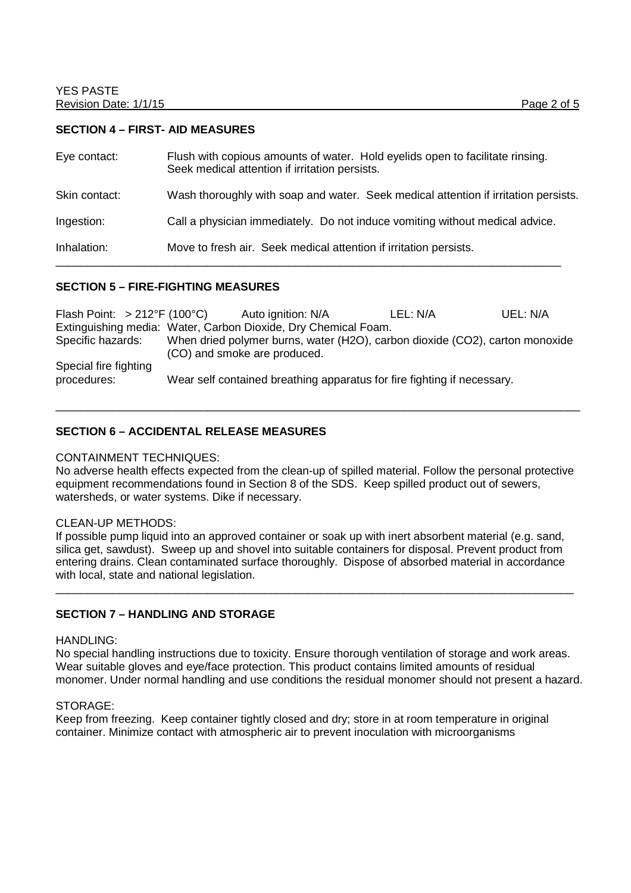#### **SECTION 4 – FIRST- AID MEASURES**

| Eye contact:  | Flush with copious amounts of water. Hold eyelids open to facilitate rinsing.<br>Seek medical attention if irritation persists. |
|---------------|---------------------------------------------------------------------------------------------------------------------------------|
| Skin contact: | Wash thoroughly with soap and water. Seek medical attention if irritation persists.                                             |
| Ingestion:    | Call a physician immediately. Do not induce vomiting without medical advice.                                                    |
| Inhalation:   | Move to fresh air. Seek medical attention if irritation persists.                                                               |

#### **SECTION 5 – FIRE-FIGHTING MEASURES**

| Flash Point: $>212^{\circ}F(100^{\circ}C)$                     | Auto ignition: N/A           | LEL: N/A                                                                     | UEL: N/A |
|----------------------------------------------------------------|------------------------------|------------------------------------------------------------------------------|----------|
| Extinguishing media: Water, Carbon Dioxide, Dry Chemical Foam. |                              |                                                                              |          |
| Specific hazards:                                              | (CO) and smoke are produced. | When dried polymer burns, water (H2O), carbon dioxide (CO2), carton monoxide |          |
| Special fire fighting<br>procedures:                           |                              | Wear self contained breathing apparatus for fire fighting if necessary.      |          |

\_\_\_\_\_\_\_\_\_\_\_\_\_\_\_\_\_\_\_\_\_\_\_\_\_\_\_\_\_\_\_\_\_\_\_\_\_\_\_\_\_\_\_\_\_\_\_\_\_\_\_\_\_\_\_\_\_\_\_\_\_\_\_\_\_\_\_\_\_\_\_\_\_\_\_\_\_\_\_\_\_\_\_

#### **SECTION 6 – ACCIDENTAL RELEASE MEASURES**

#### CONTAINMENT TECHNIQUES:

No adverse health effects expected from the clean-up of spilled material. Follow the personal protective equipment recommendations found in Section 8 of the SDS. Keep spilled product out of sewers, watersheds, or water systems. Dike if necessary.

#### CLEAN-UP METHODS:

If possible pump liquid into an approved container or soak up with inert absorbent material (e.g. sand, silica get, sawdust). Sweep up and shovel into suitable containers for disposal. Prevent product from entering drains. Clean contaminated surface thoroughly. Dispose of absorbed material in accordance with local, state and national legislation.

\_\_\_\_\_\_\_\_\_\_\_\_\_\_\_\_\_\_\_\_\_\_\_\_\_\_\_\_\_\_\_\_\_\_\_\_\_\_\_\_\_\_\_\_\_\_\_\_\_\_\_\_\_\_\_\_\_\_\_\_\_\_\_\_\_\_\_\_\_\_\_\_\_\_\_\_\_\_\_\_\_\_

#### **SECTION 7 – HANDLING AND STORAGE**

#### HANDLING:

No special handling instructions due to toxicity. Ensure thorough ventilation of storage and work areas. Wear suitable gloves and eye/face protection. This product contains limited amounts of residual monomer. Under normal handling and use conditions the residual monomer should not present a hazard.

#### STORAGE:

Keep from freezing. Keep container tightly closed and dry; store in at room temperature in original container. Minimize contact with atmospheric air to prevent inoculation with microorganisms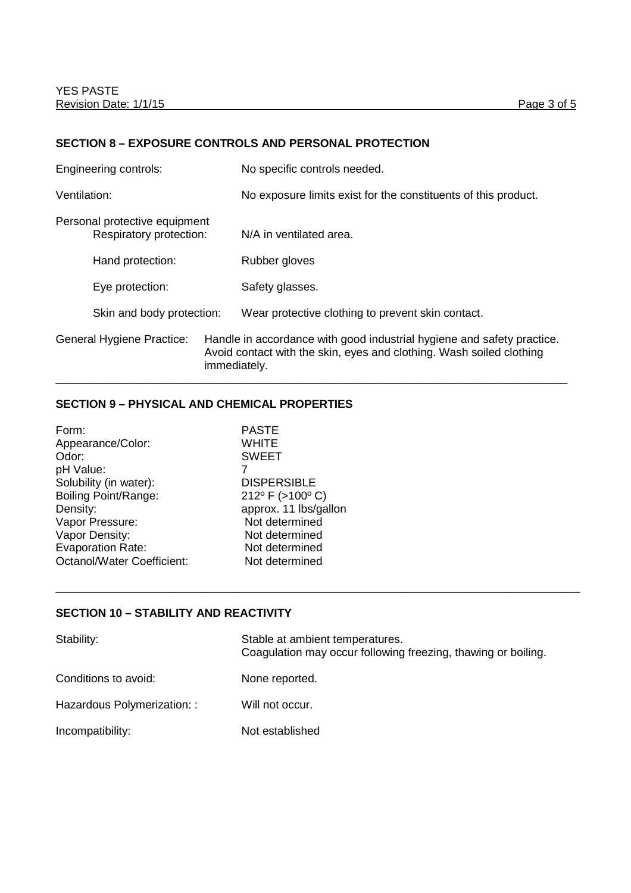### **SECTION 8 – EXPOSURE CONTROLS AND PERSONAL PROTECTION**

|              | Engineering controls:                                    |              | No specific controls needed.                                                                                                                   |
|--------------|----------------------------------------------------------|--------------|------------------------------------------------------------------------------------------------------------------------------------------------|
| Ventilation: |                                                          |              | No exposure limits exist for the constituents of this product.                                                                                 |
|              | Personal protective equipment<br>Respiratory protection: |              | N/A in ventilated area.                                                                                                                        |
|              | Hand protection:                                         |              | Rubber gloves                                                                                                                                  |
|              | Eye protection:                                          |              | Safety glasses.                                                                                                                                |
|              | Skin and body protection:                                |              | Wear protective clothing to prevent skin contact.                                                                                              |
|              | General Hygiene Practice:                                | immediately. | Handle in accordance with good industrial hygiene and safety practice.<br>Avoid contact with the skin, eyes and clothing. Wash soiled clothing |

# **SECTION 9 – PHYSICAL AND CHEMICAL PROPERTIES**

| Form:                             | <b>PASTE</b>          |
|-----------------------------------|-----------------------|
| Appearance/Color:                 | <b>WHITE</b>          |
| Odor:                             | <b>SWEET</b>          |
| pH Value:                         |                       |
| Solubility (in water):            | <b>DISPERSIBLE</b>    |
| <b>Boiling Point/Range:</b>       | 212° F (>100° C)      |
| Density:                          | approx. 11 lbs/gallon |
| Vapor Pressure:                   | Not determined        |
| Vapor Density:                    | Not determined        |
| <b>Evaporation Rate:</b>          | Not determined        |
| <b>Octanol/Water Coefficient:</b> | Not determined        |
|                                   |                       |

# **SECTION 10 – STABILITY AND REACTIVITY**

| Stability:                  | Stable at ambient temperatures.<br>Coagulation may occur following freezing, thawing or boiling. |
|-----------------------------|--------------------------------------------------------------------------------------------------|
| Conditions to avoid:        | None reported.                                                                                   |
| Hazardous Polymerization: : | Will not occur.                                                                                  |
| Incompatibility:            | Not established                                                                                  |

\_\_\_\_\_\_\_\_\_\_\_\_\_\_\_\_\_\_\_\_\_\_\_\_\_\_\_\_\_\_\_\_\_\_\_\_\_\_\_\_\_\_\_\_\_\_\_\_\_\_\_\_\_\_\_\_\_\_\_\_\_\_\_\_\_\_\_\_\_\_\_\_\_\_\_\_\_\_\_\_\_\_\_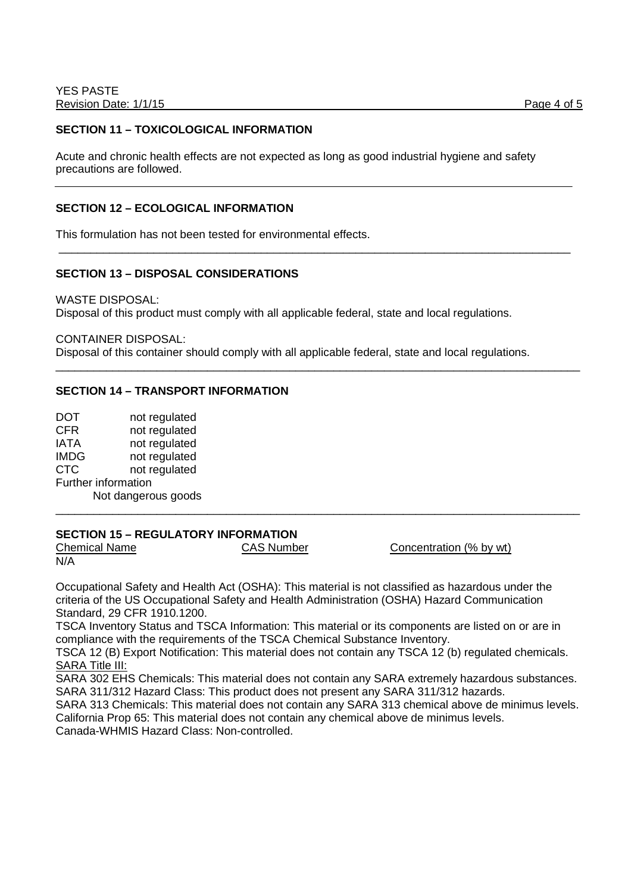### **SECTION 11 – TOXICOLOGICAL INFORMATION**

Acute and chronic health effects are not expected as long as good industrial hygiene and safety precautions are followed.

\_\_\_\_\_\_\_\_\_\_\_\_\_\_\_\_\_\_\_\_\_\_\_\_\_\_\_\_\_\_\_\_\_\_\_\_\_\_\_\_\_\_\_\_\_\_\_\_\_\_\_\_\_\_\_\_\_\_\_\_\_\_\_\_\_\_\_\_\_\_\_\_\_\_\_\_\_\_\_\_\_

\_\_\_\_\_\_\_\_\_\_\_\_\_\_\_\_\_\_\_\_\_\_\_\_\_\_\_\_\_\_\_\_\_\_\_\_\_\_\_\_\_\_\_\_\_\_\_\_\_\_\_\_\_\_\_\_\_\_\_\_\_\_\_\_\_\_\_\_\_\_\_\_\_\_\_\_\_\_\_\_\_\_\_

\_\_\_\_\_\_\_\_\_\_\_\_\_\_\_\_\_\_\_\_\_\_\_\_\_\_\_\_\_\_\_\_\_\_\_\_\_\_\_\_\_\_\_\_\_\_\_\_\_\_\_\_\_\_\_\_\_\_\_\_\_\_\_\_\_\_\_\_\_\_\_\_\_\_\_\_\_\_\_\_\_\_\_

#### **SECTION 12 – ECOLOGICAL INFORMATION**

This formulation has not been tested for environmental effects.

# **SECTION 13 – DISPOSAL CONSIDERATIONS**

WASTE DISPOSAL: Disposal of this product must comply with all applicable federal, state and local regulations.

CONTAINER DISPOSAL:

Disposal of this container should comply with all applicable federal, state and local regulations.

#### **SECTION 14 – TRANSPORT INFORMATION**

DOT not regulated CFR not regulated IATA not regulated IMDG not regulated CTC not regulated Further information Not dangerous goods

# **SECTION 15 – REGULATORY INFORMATION**

N/A

Chemical Name CAS Number Concentration (% by wt)

Occupational Safety and Health Act (OSHA): This material is not classified as hazardous under the criteria of the US Occupational Safety and Health Administration (OSHA) Hazard Communication Standard, 29 CFR 1910.1200.

TSCA Inventory Status and TSCA Information: This material or its components are listed on or are in compliance with the requirements of the TSCA Chemical Substance Inventory.

TSCA 12 (B) Export Notification: This material does not contain any TSCA 12 (b) regulated chemicals. SARA Title III:

SARA 302 EHS Chemicals: This material does not contain any SARA extremely hazardous substances. SARA 311/312 Hazard Class: This product does not present any SARA 311/312 hazards.

SARA 313 Chemicals: This material does not contain any SARA 313 chemical above de minimus levels. California Prop 65: This material does not contain any chemical above de minimus levels. Canada-WHMIS Hazard Class: Non-controlled.